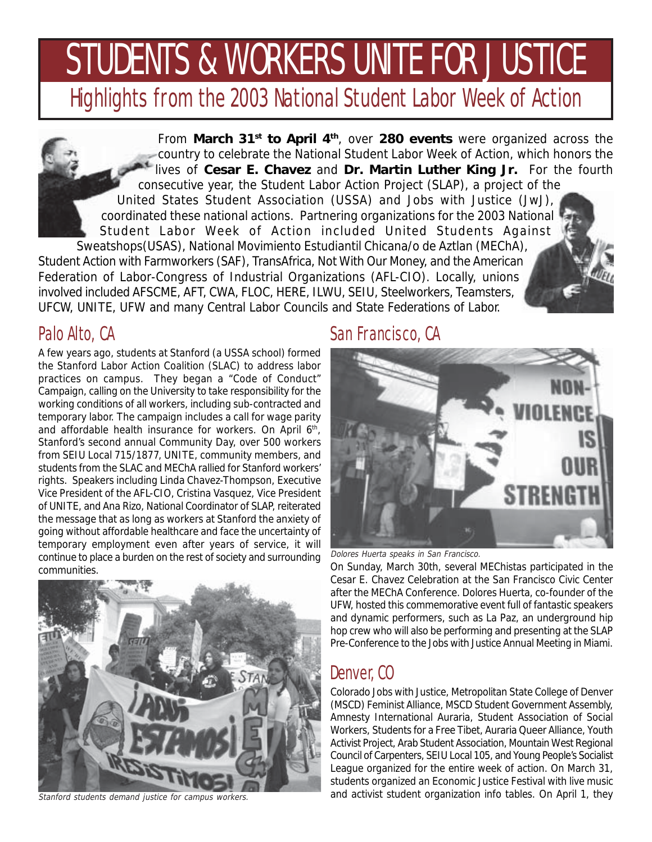# STUDENTS & WORKERS UNITE FOR JUSTICE

Highlights from the 2003 National Student Labor Week of Action

From **March 31st to April 4th**, over **280 events** were organized across the country to celebrate the National Student Labor Week of Action, which honors the lives of **Cesar E. Chavez** and **Dr. Martin Luther King Jr.** For the fourth consecutive year, the Student Labor Action Project (SLAP), a project of the United States Student Association (USSA) and Jobs with Justice (JwJ), coordinated these national actions. Partnering organizations for the 2003 National Student Labor Week of Action included United Students Against Sweatshops(USAS), National Movimiento Estudiantil Chicana/o de Aztlan (MEChA),

Student Action with Farmworkers (SAF), TransAfrica, Not With Our Money, and the American Federation of Labor-Congress of Industrial Organizations (AFL-CIO). Locally, unions involved included AFSCME, AFT, CWA, FLOC, HERE, ILWU, SEIU, Steelworkers, Teamsters, UFCW, UNITE, UFW and many Central Labor Councils and State Federations of Labor.

### Palo Alto, CA

A few years ago, students at Stanford (a USSA school) formed the Stanford Labor Action Coalition (SLAC) to address labor practices on campus. They began a "Code of Conduct" Campaign, calling on the University to take responsibility for the working conditions of all workers, including sub-contracted and temporary labor. The campaign includes a call for wage parity and affordable health insurance for workers. On April 6<sup>th</sup>, Stanford's second annual Community Day, over 500 workers from SEIU Local 715/1877, UNITE, community members, and students from the SLAC and MEChA rallied for Stanford workers' rights. Speakers including Linda Chavez-Thompson, Executive Vice President of the AFL-CIO, Cristina Vasquez, Vice President of UNITE, and Ana Rizo, National Coordinator of SLAP, reiterated the message that as long as workers at Stanford the anxiety of going without affordable healthcare and face the uncertainty of temporary employment even after years of service, it will continue to place a burden on the rest of society and surrounding communities.



Stanford students demand justice for campus workers.

#### San Francisco, CA



Dolores Huerta speaks in San Francisco.

On Sunday, March 30th, several MEChistas participated in the Cesar E. Chavez Celebration at the San Francisco Civic Center after the MEChA Conference. Dolores Huerta, co-founder of the UFW, hosted this commemorative event full of fantastic speakers and dynamic performers, such as La Paz, an underground hip hop crew who will also be performing and presenting at the SLAP Pre-Conference to the Jobs with Justice Annual Meeting in Miami.

# Denver, CO

Colorado Jobs with Justice, Metropolitan State College of Denver (MSCD) Feminist Alliance, MSCD Student Government Assembly, Amnesty International Auraria, Student Association of Social Workers, Students for a Free Tibet, Auraria Queer Alliance, Youth Activist Project, Arab Student Association, Mountain West Regional Council of Carpenters, SEIU Local 105, and Young People's Socialist League organized for the entire week of action. On March 31, students organized an Economic Justice Festival with live music and activist student organization info tables. On April 1, they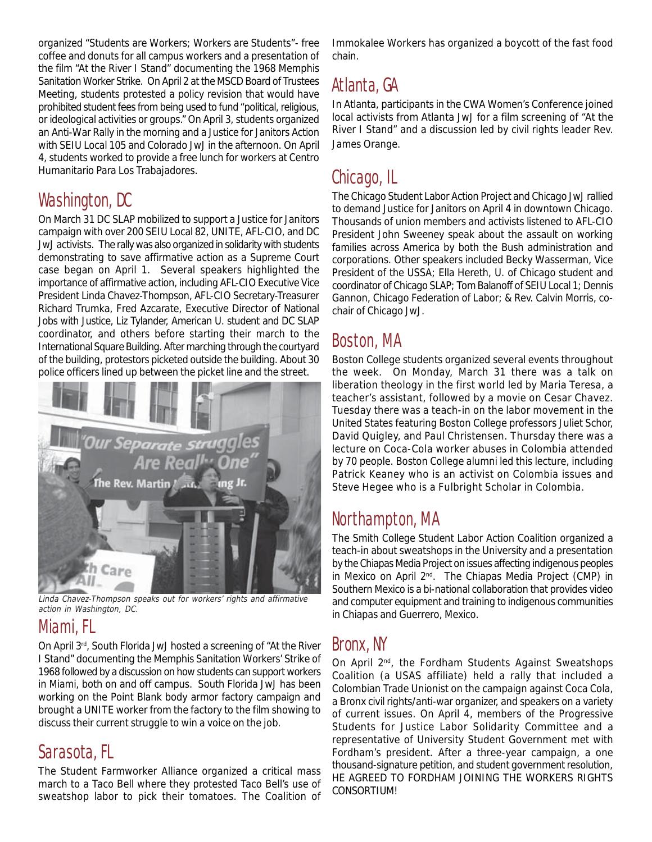organized "Students are Workers; Workers are Students"- free coffee and donuts for all campus workers and a presentation of the film "At the River I Stand" documenting the 1968 Memphis Sanitation Worker Strike. On April 2 at the MSCD Board of Trustees Meeting, students protested a policy revision that would have prohibited student fees from being used to fund "political, religious, or ideological activities or groups." On April 3, students organized an Anti-War Rally in the morning and a Justice for Janitors Action with SEIU Local 105 and Colorado JwJ in the afternoon. On April 4, students worked to provide a free lunch for workers at Centro Humanitario Para Los Trabajadores.

# Washington, DC

On March 31 DC SLAP mobilized to support a Justice for Janitors campaign with over 200 SEIU Local 82, UNITE, AFL-CIO, and DC JwJ activists. The rally was also organized in solidarity with students demonstrating to save affirmative action as a Supreme Court case began on April 1. Several speakers highlighted the importance of affirmative action, including AFL-CIO Executive Vice President Linda Chavez-Thompson, AFL-CIO Secretary-Treasurer Richard Trumka, Fred Azcarate, Executive Director of National Jobs with Justice, Liz Tylander, American U. student and DC SLAP coordinator, and others before starting their march to the International Square Building. After marching through the courtyard of the building, protestors picketed outside the building. About 30 police officers lined up between the picket line and the street.



Linda Chavez-Thompson speaks out for workers' rights and affirmative action in Washington, DC.

# Miami, FL

On April 3rd, South Florida JwJ hosted a screening of "At the River I Stand" documenting the Memphis Sanitation Workers' Strike of 1968 followed by a discussion on how students can support workers in Miami, both on and off campus. South Florida JwJ has been working on the Point Blank body armor factory campaign and brought a UNITE worker from the factory to the film showing to discuss their current struggle to win a voice on the job.

### Sarasota, FL

The Student Farmworker Alliance organized a critical mass march to a Taco Bell where they protested Taco Bell's use of sweatshop labor to pick their tomatoes. The Coalition of

Immokalee Workers has organized a boycott of the fast food chain.

# Atlanta, GA

In Atlanta, participants in the CWA Women's Conference joined local activists from Atlanta JwJ for a film screening of "At the River I Stand" and a discussion led by civil rights leader Rev. James Orange.

# Chicago, IL

The Chicago Student Labor Action Project and Chicago JwJ rallied to demand Justice for Janitors on April 4 in downtown Chicago. Thousands of union members and activists listened to AFL-CIO President John Sweeney speak about the assault on working families across America by both the Bush administration and corporations. Other speakers included Becky Wasserman, Vice President of the USSA; Ella Hereth, U. of Chicago student and coordinator of Chicago SLAP; Tom Balanoff of SEIU Local 1; Dennis Gannon, Chicago Federation of Labor; & Rev. Calvin Morris, cochair of Chicago JwJ.

# Boston, MA

Boston College students organized several events throughout the week. On Monday, March 31 there was a talk on liberation theology in the first world led by Maria Teresa, a teacher's assistant, followed by a movie on Cesar Chavez. Tuesday there was a teach-in on the labor movement in the United States featuring Boston College professors Juliet Schor, David Quigley, and Paul Christensen. Thursday there was a lecture on Coca-Cola worker abuses in Colombia attended by 70 people. Boston College alumni led this lecture, including Patrick Keaney who is an activist on Colombia issues and Steve Hegee who is a Fulbright Scholar in Colombia.

### Northampton, MA

The Smith College Student Labor Action Coalition organized a teach-in about sweatshops in the University and a presentation by the Chiapas Media Project on issues affecting indigenous peoples in Mexico on April 2<sup>nd</sup>. The Chiapas Media Project (CMP) in Southern Mexico is a bi-national collaboration that provides video and computer equipment and training to indigenous communities in Chiapas and Guerrero, Mexico.

### Bronx, NY

On April 2<sup>nd</sup>, the Fordham Students Against Sweatshops Coalition (a USAS affiliate) held a rally that included a Colombian Trade Unionist on the campaign against Coca Cola, a Bronx civil rights/anti-war organizer, and speakers on a variety of current issues. On April 4, members of the Progressive Students for Justice Labor Solidarity Committee and a representative of University Student Government met with Fordham's president. After a three-year campaign, a one thousand-signature petition, and student government resolution, HE AGREED TO FORDHAM JOINING THE WORKERS RIGHTS CONSORTIUM!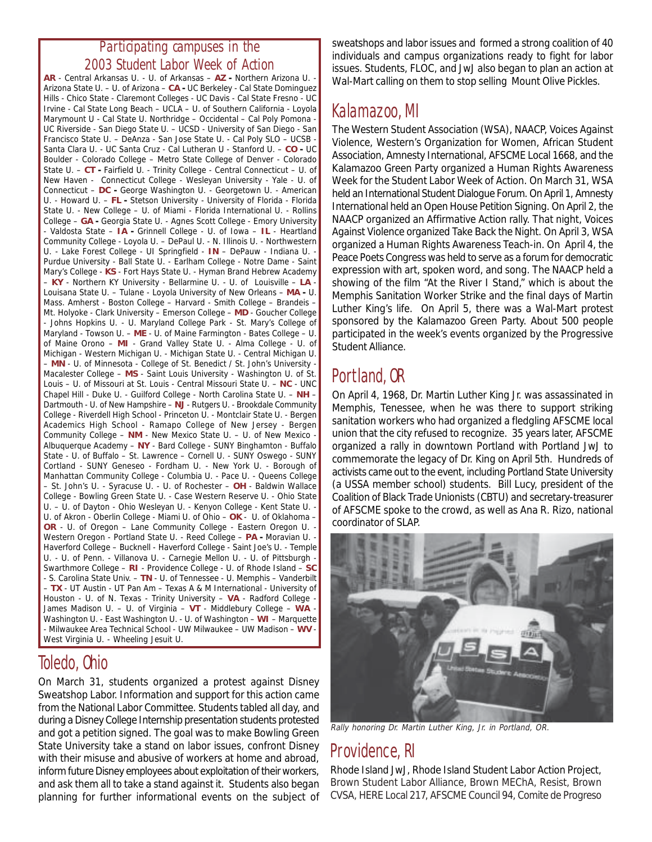#### **Participating campuses in the 2003 Student Labor Week of Action**

**AR** - Central Arkansas U. - U. of Arkansas – **AZ -** Northern Arizona U. - Arizona State U. – U. of Arizona – **CA -** UC Berkeley - Cal State Dominguez Hills - Chico State - Claremont Colleges - UC Davis - Cal State Fresno - UC Irvine - Cal State Long Beach – UCLA – U. of Southern California - Loyola Marymount U - Cal State U. Northridge – Occidental – Cal Poly Pomona - UC Riverside - San Diego State U. – UCSD - University of San Diego - San Francisco State U. – DeAnza - San Jose State U. - Cal Poly SLO – UCSB - Santa Clara U. - UC Santa Cruz - Cal Lutheran U - Stanford U. – **CO -** UC Boulder - Colorado College – Metro State College of Denver - Colorado State U. – **CT -** Fairfield U. - Trinity College - Central Connecticut – U. of New Haven - Connecticut College - Wesleyan University - Yale - U. of Connecticut – **DC -** George Washington U. - Georgetown U. - American U. - Howard U. – **FL -** Stetson University - University of Florida - Florida State U. - New College – U. of Miami - Florida International U. - Rollins College – **GA -** Georgia State U. - Agnes Scott College - Emory University - Valdosta State – **IA -** Grinnell College - U. of Iowa – **IL** - Heartland Community College - Loyola U. – DePaul U. - N. Illinois U. - Northwestern U. - Lake Forest College - UI Springfield - **IN** – DePauw - Indiana U. - Purdue University - Ball State U. - Earlham College - Notre Dame - Saint Mary's College - **KS** - Fort Hays State U. - Hyman Brand Hebrew Academy – **KY** - Northern KY University - Bellarmine U. - U. of Louisville – **LA** - Louisana State U. – Tulane - Loyola University of New Orleans – **MA -** U. Mass. Amherst - Boston College – Harvard - Smith College – Brandeis – Mt. Holyoke - Clark University – Emerson College – **MD** - Goucher College - Johns Hopkins U. - U. Maryland College Park - St. Mary's College of Maryland - Towson U. – **ME** - U. of Maine Farmington - Bates College – U. of Maine Orono – **MI** - Grand Valley State U. - Alma College - U. of Michigan - Western Michigan U. - Michigan State U. - Central Michigan U. – **MN** - U. of Minnesota - College of St. Benedict / St. John's University - Macalester College – **MS** - Saint Louis University - Washington U. of St. Louis – U. of Missouri at St. Louis - Central Missouri State U. – **NC** - UNC Chapel Hill - Duke U. - Guilford College - North Carolina State U. – **NH** – Dartmouth - U. of New Hampshire – **NJ** - Rutgers U. - Brookdale Community College - Riverdell High School - Princeton U. - Montclair State U. - Bergen Academics High School - Ramapo College of New Jersey - Bergen Community College – **NM** - New Mexico State U. – U. of New Mexico - Albuquerque Academy – **NY** - Bard College - SUNY Binghamton - Buffalo State - U. of Buffalo – St. Lawrence – Cornell U. - SUNY Oswego - SUNY Cortland - SUNY Geneseo - Fordham U. - New York U. - Borough of Manhattan Community College - Columbia U. - Pace U. - Queens College – St. John's U. - Syracuse U. - U. of Rochester – **OH** - Baldwin Wallace College - Bowling Green State U. - Case Western Reserve U. - Ohio State U. – U. of Dayton - Ohio Wesleyan U. - Kenyon College - Kent State U. - U. of Akron - Oberlin College - Miami U. of Ohio – **OK** - U. of Oklahoma – OR - U. of Oregon - Lane Community College - Eastern Oregon U. Western Oregon - Portland State U. - Reed College - PA - Moravian U. Haverford College – Bucknell - Haverford College - Saint Joe's U. - Temple U. - U. of Penn. - Villanova U. - Carnegie Mellon U. - U. of Pittsburgh - Swarthmore College – **RI** - Providence College - U. of Rhode Island – **SC** - S. Carolina State Univ. – **TN** - U. of Tennessee - U. Memphis – Vanderbilt – **TX** - UT Austin - UT Pan Am – Texas A & M International - University of Houston - U. of N. Texas - Trinity University – **VA** - Radford College - James Madison U. – U. of Virginia – **VT** - Middlebury College – **WA** - Washington U. - East Washington U. - U. of Washington – **WI** – Marquette - Milwaukee Area Technical School - UW Milwaukee – UW Madison – **WV** - West Virginia U. - Wheeling Jesuit U.

#### Toledo, Ohio

On March 31, students organized a protest against Disney Sweatshop Labor. Information and support for this action came from the National Labor Committee. Students tabled all day, and during a Disney College Internship presentation students protested and got a petition signed. The goal was to make Bowling Green State University take a stand on labor issues, confront Disney with their misuse and abusive of workers at home and abroad, inform future Disney employees about exploitation of their workers, and ask them all to take a stand against it. Students also began planning for further informational events on the subject of

sweatshops and labor issues and formed a strong coalition of 40 individuals and campus organizations ready to fight for labor issues. Students, FLOC, and JwJ also began to plan an action at Wal-Mart calling on them to stop selling Mount Olive Pickles.

#### Kalamazoo, MI

The Western Student Association (WSA), NAACP, Voices Against Violence, Western's Organization for Women, African Student Association, Amnesty International, AFSCME Local 1668, and the Kalamazoo Green Party organized a Human Rights Awareness Week for the Student Labor Week of Action. On March 31, WSA held an International Student Dialogue Forum. On April 1, Amnesty International held an Open House Petition Signing. On April 2, the NAACP organized an Affirmative Action rally. That night, Voices Against Violence organized Take Back the Night. On April 3, WSA organized a Human Rights Awareness Teach-in. On April 4, the Peace Poets Congress was held to serve as a forum for democratic expression with art, spoken word, and song. The NAACP held a showing of the film "At the River I Stand," which is about the Memphis Sanitation Worker Strike and the final days of Martin Luther King's life. On April 5, there was a Wal-Mart protest sponsored by the Kalamazoo Green Party. About 500 people participated in the week's events organized by the Progressive Student Alliance.

#### Portland, OR

On April 4, 1968, Dr. Martin Luther King Jr. was assassinated in Memphis, Tenessee, when he was there to support striking sanitation workers who had organized a fledgling AFSCME local union that the city refused to recognize. 35 years later, AFSCME organized a rally in downtown Portland with Portland JwJ to commemorate the legacy of Dr. King on April 5th. Hundreds of activists came out to the event, including Portland State University (a USSA member school) students. Bill Lucy, president of the Coalition of Black Trade Unionists (CBTU) and secretary-treasurer of AFSCME spoke to the crowd, as well as Ana R. Rizo, national coordinator of SLAP.



Rally honoring Dr. Martin Luther King, Jr. in Portland, OR.

### Providence, RI

Rhode Island JwJ, Rhode Island Student Labor Action Project, Brown Student Labor Alliance, Brown MEChA, Resist, Brown CVSA, HERE Local 217, AFSCME Council 94, Comite de Progreso